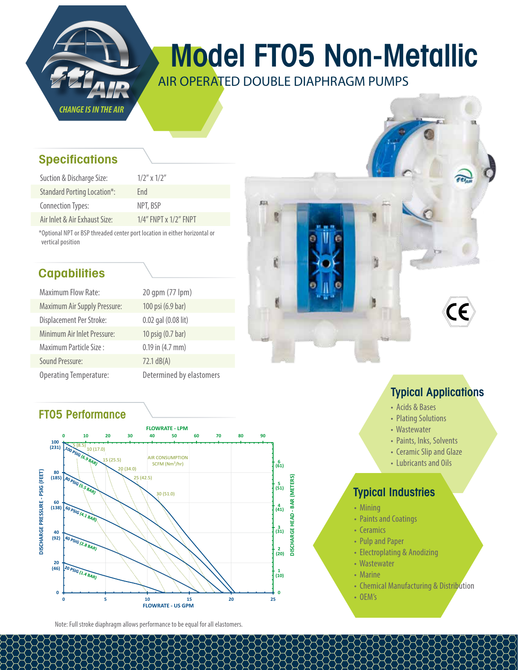

# Model FT05 Non-Metallic

AIR OPERATED DOUBLE DIAPHRAGM PUMPS

户

#### **Specifications**

| Suction & Discharge Size:          | $1/2''$ x $1/2''$           |
|------------------------------------|-----------------------------|
| <b>Standard Porting Location*:</b> | Fnd                         |
| Connection Types:                  | NPT, BSP                    |
| Air Inlet & Air Exhaust Size:      | $1/4$ " FNPT x $1/2$ " FNPT |

\*Optional NPT or BSP threaded center port location in either horizontal or vertical position

## **Capabilities**

| <b>Maximum Flow Rate:</b>           | 20 qpm (77 lpm)          |
|-------------------------------------|--------------------------|
| <b>Maximum Air Supply Pressure:</b> | 100 psi (6.9 bar)        |
| Displacement Per Stroke:            | 0.02 gal (0.08 lit)      |
| Minimum Air Inlet Pressure:         | 10 psig (0.7 bar)        |
| Maximum Particle Size:              | $0.19$ in $(4.7$ mm)     |
| Sound Pressure:                     | $72.1 \text{ dB}(A)$     |
| <b>Operating Temperature:</b>       | Determined by elastomers |

#### FT05 Performance



Note: Full stroke diaphragm allows performance to be equal for all elastomers.

## Typical Applications

- Acids & Bases
- Plating Solutions
- Wastewater
- Paints, Inks, Solvents
- Ceramic Slip and Glaze
- Lubricants and Oils

#### Typical Industries

- Mining
- Paints and Coatings
- Ceramics
- Pulp and Paper
- Electroplating & Anodizing
- Wastewater
- Marine
- Chemical Manufacturing & Distribution
- OEM's